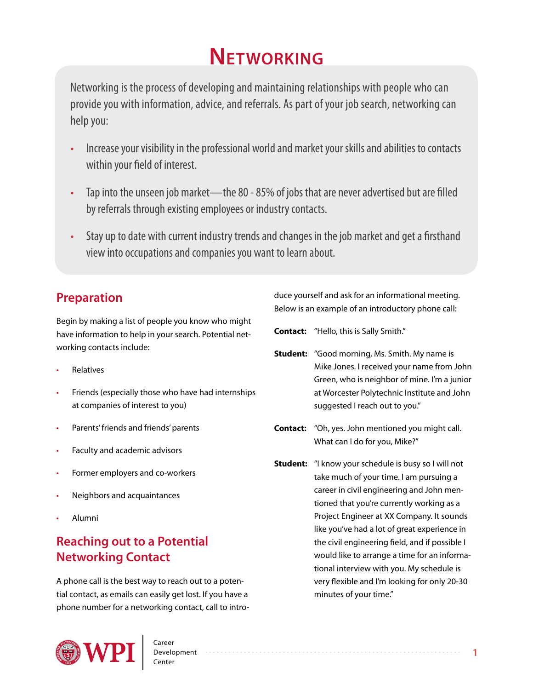# **Networking**

Networking is the process of developing and maintaining relationships with people who can provide you with information, advice, and referrals. As part of your job search, networking can help you:

- Increase your visibility in the professional world and market your skills and abilities to contacts within your field of interest.
- Tap into the unseen job market—the 80 85% of jobs that are never advertised but are filled by referrals through existing employees or industry contacts.
- Stay up to date with current industry trends and changes in the job market and get a firsthand view into occupations and companies you want to learn about.

# **Preparation**

Begin by making a list of people you know who might have information to help in your search. Potential networking contacts include:

- **Relatives**
- Friends (especially those who have had internships at companies of interest to you)
- Parents' friends and friends' parents
- Faculty and academic advisors
- Former employers and co-workers
- Neighbors and acquaintances
- Alumni

# **Reaching out to a Potential Networking Contact**

A phone call is the best way to reach out to a potential contact, as emails can easily get lost. If you have a phone number for a networking contact, call to intro-



Below is an example of an introductory phone call:

**Contact:** "Hello, this is Sally Smith."

- **Student:** "Good morning, Ms. Smith. My name is Mike Jones. I received your name from John Green, who is neighbor of mine. I'm a junior at Worcester Polytechnic Institute and John suggested I reach out to you."
- **Contact:** "Oh, yes. John mentioned you might call. What can I do for you, Mike?"
- **Student:** "I know your schedule is busy so I will not take much of your time. I am pursuing a career in civil engineering and John mentioned that you're currently working as a Project Engineer at XX Company. It sounds like you've had a lot of great experience in the civil engineering field, and if possible I would like to arrange a time for an informational interview with you. My schedule is very flexible and I'm looking for only 20-30 minutes of your time."

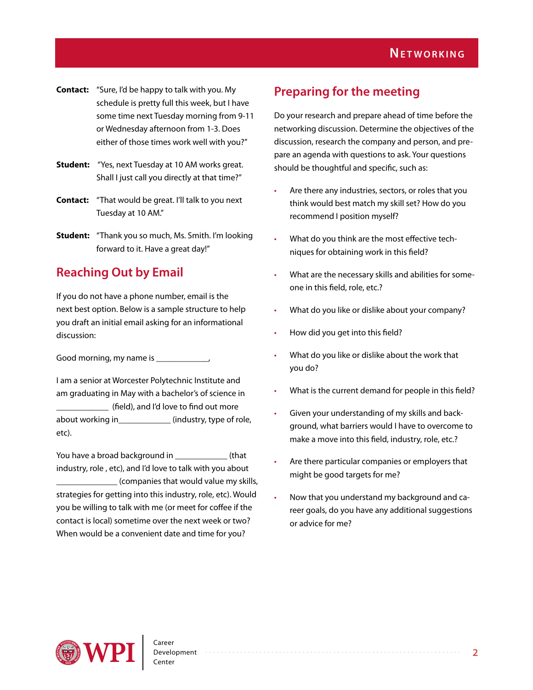- **Contact:** "Sure, I'd be happy to talk with you. My schedule is pretty full this week, but I have some time next Tuesday morning from 9-11 or Wednesday afternoon from 1-3. Does either of those times work well with you?"
- **Student:** "Yes, next Tuesday at 10 AM works great. Shall I just call you directly at that time?"
- **Contact:** "That would be great. I'll talk to you next Tuesday at 10 AM."
- **Student:** "Thank you so much, Ms. Smith. I'm looking forward to it. Have a great day!"

## **Reaching Out by Email**

If you do not have a phone number, email is the next best option. Below is a sample structure to help you draft an initial email asking for an informational discussion:

Good morning, my name is \_\_\_\_\_\_\_\_\_\_\_\_,

I am a senior at Worcester Polytechnic Institute and am graduating in May with a bachelor's of science in (field), and I'd love to find out more about working in\_\_\_\_\_\_\_\_\_\_\_\_ (industry, type of role, etc).

You have a broad background in  $\qquad \qquad$  (that industry, role , etc), and I'd love to talk with you about \_\_\_\_\_\_\_\_\_\_\_\_\_\_ (companies that would value my skills, strategies for getting into this industry, role, etc). Would you be willing to talk with me (or meet for coffee if the contact is local) sometime over the next week or two? When would be a convenient date and time for you?

## **Preparing for the meeting**

Do your research and prepare ahead of time before the networking discussion. Determine the objectives of the discussion, research the company and person, and prepare an agenda with questions to ask. Your questions should be thoughtful and specific, such as:

- Are there any industries, sectors, or roles that you think would best match my skill set? How do you recommend I position myself?
- What do you think are the most effective techniques for obtaining work in this field?
- What are the necessary skills and abilities for someone in this field, role, etc.?
- What do you like or dislike about your company?
- How did you get into this field?
- What do you like or dislike about the work that you do?
- What is the current demand for people in this field?
- Given your understanding of my skills and background, what barriers would I have to overcome to make a move into this field, industry, role, etc.?
- Are there particular companies or employers that might be good targets for me?
- Now that you understand my background and career goals, do you have any additional suggestions or advice for me?

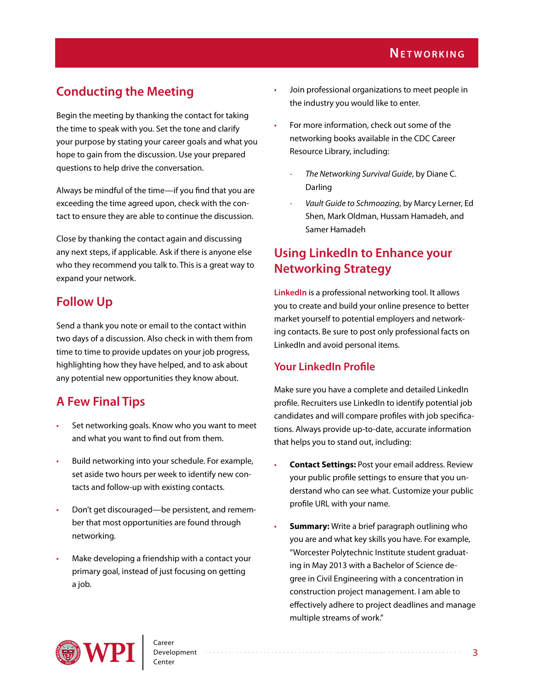# **Conducting the Meeting**

Begin the meeting by thanking the contact for taking the time to speak with you. Set the tone and clarify your purpose by stating your career goals and what you hope to gain from the discussion. Use your prepared questions to help drive the conversation.

Always be mindful of the time—if you find that you are exceeding the time agreed upon, check with the contact to ensure they are able to continue the discussion.

Close by thanking the contact again and discussing any next steps, if applicable. Ask if there is anyone else who they recommend you talk to. This is a great way to expand your network.

## **Follow Up**

Send a thank you note or email to the contact within two days of a discussion. Also check in with them from time to time to provide updates on your job progress, highlighting how they have helped, and to ask about any potential new opportunities they know about.

# **A Few Final Tips**

- Set networking goals. Know who you want to meet and what you want to find out from them.
- Build networking into your schedule. For example, set aside two hours per week to identify new contacts and follow-up with existing contacts.
- Don't get discouraged—be persistent, and remember that most opportunities are found through networking.
- Make developing a friendship with a contact your primary goal, instead of just focusing on getting a job.
- Join professional organizations to meet people in the industry you would like to enter.
- For more information, check out some of the networking books available in the CDC Career Resource Library, including:
	- *The Networking Survival Guide*, by Diane C. Darling
	- *Vault Guide to Schmoozing*, by Marcy Lerner, Ed Shen, Mark Oldman, Hussam Hamadeh, and Samer Hamadeh

## **Using LinkedIn to Enhance your Networking Strategy**

**[LinkedIn](https://www.linkedin.com)** is a professional networking tool. It allows you to create and build your online presence to better market yourself to potential employers and networking contacts. Be sure to post only professional facts on LinkedIn and avoid personal items.

## **Your LinkedIn Profile**

Make sure you have a complete and detailed LinkedIn profile. Recruiters use LinkedIn to identify potential job candidates and will compare profiles with job specifications. Always provide up-to-date, accurate information that helps you to stand out, including:

- **Contact Settings:** Post your email address. Review your public profile settings to ensure that you understand who can see what. Customize your public profile URL with your name.
- **Summary:** Write a brief paragraph outlining who you are and what key skills you have. For example, "Worcester Polytechnic Institute student graduating in May 2013 with a Bachelor of Science degree in Civil Engineering with a concentration in construction project management. I am able to effectively adhere to project deadlines and manage multiple streams of work."

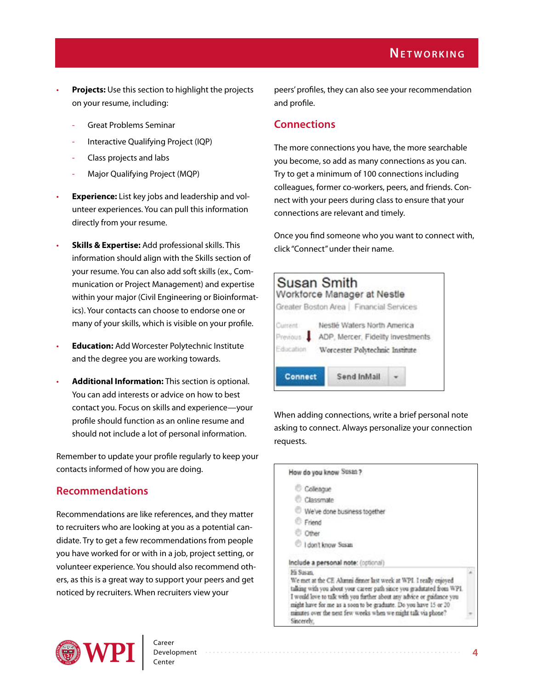- **Projects:** Use this section to highlight the projects on your resume, including:
	- Great Problems Seminar
	- Interactive Qualifying Project (IQP)
	- Class projects and labs
	- Major Qualifying Project (MQP)
- **Experience:** List key jobs and leadership and volunteer experiences. You can pull this information directly from your resume.
- **Skills & Expertise:** Add professional skills. This information should align with the Skills section of your resume. You can also add soft skills (ex., Communication or Project Management) and expertise within your major (Civil Engineering or Bioinformatics). Your contacts can choose to endorse one or many of your skills, which is visible on your profile.
- **Education:** Add Worcester Polytechnic Institute and the degree you are working towards.
- **Additional Information:** This section is optional. You can add interests or advice on how to best contact you. Focus on skills and experience—your profile should function as an online resume and should not include a lot of personal information.

Remember to update your profile regularly to keep your contacts informed of how you are doing.

## **Recommendations**

Recommendations are like references, and they matter to recruiters who are looking at you as a potential candidate. Try to get a few recommendations from people you have worked for or with in a job, project setting, or volunteer experience. You should also recommend others, as this is a great way to support your peers and get noticed by recruiters. When recruiters view your

peers' profiles, they can also see your recommendation and profile.

## **Connections**

The more connections you have, the more searchable you become, so add as many connections as you can. Try to get a minimum of 100 connections including colleagues, former co-workers, peers, and friends. Connect with your peers during class to ensure that your connections are relevant and timely.

Once you find someone who you want to connect with, click "Connect" under their name.

| Susan Smith            | Workforce Manager at Nestle<br>Greater Boston Area   Financial Services                             |  |
|------------------------|-----------------------------------------------------------------------------------------------------|--|
| Current."<br>revious : | Nestlé Waters North America<br>ADP, Mercer, Fidelity Investments<br>Worcester Polytechnic Institute |  |
| <b>Connect</b>         | Send InMail                                                                                         |  |

When adding connections, write a brief personal note asking to connect. Always personalize your connection requests.

| How do you know Susan ?                                                                                                                                                                                                                                                                                                                                                             |  |
|-------------------------------------------------------------------------------------------------------------------------------------------------------------------------------------------------------------------------------------------------------------------------------------------------------------------------------------------------------------------------------------|--|
| Colleague                                                                                                                                                                                                                                                                                                                                                                           |  |
| Classmate                                                                                                                                                                                                                                                                                                                                                                           |  |
| We've done business together                                                                                                                                                                                                                                                                                                                                                        |  |
| Friend                                                                                                                                                                                                                                                                                                                                                                              |  |
| Other                                                                                                                                                                                                                                                                                                                                                                               |  |
| I don't know Susan                                                                                                                                                                                                                                                                                                                                                                  |  |
| Include a personal note: (optional)                                                                                                                                                                                                                                                                                                                                                 |  |
| Hi Susan<br>We met at the CE Alumni dinner last week at WPI. I really enjoyed<br>taking with you about your career path since you gradutated from WPI.<br>I would love to talk with you further about any advice or guidance you<br>might have for me as a soon to be graduate. Do you have 15 or 20<br>minutes over the next few weeks when we might talk via phone?<br>Sincerely. |  |

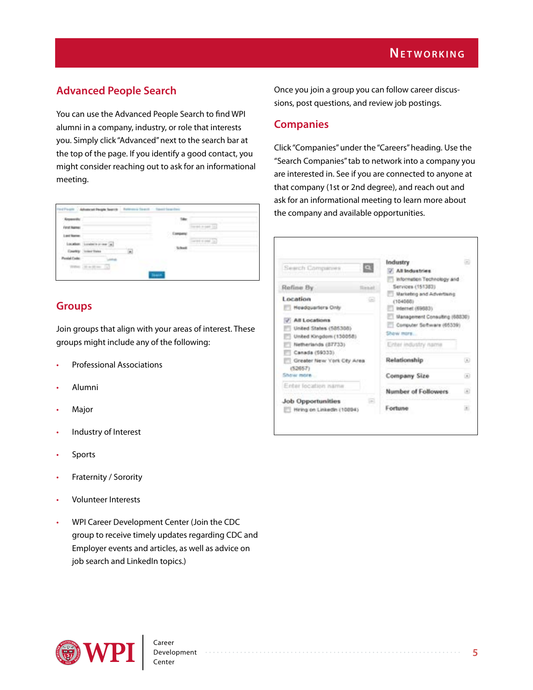## **Advanced People Search**

You can use the Advanced People Search to find WPI alumni in a company, industry, or role that interests you. Simply click "Advanced" next to the search bar at the top of the page. If you identify a good contact, you might consider reaching out to ask for an informational meeting.

|                         | Indiffusion . Advanced People Seattle . Retirement Seattle . Stand Searches' |                        |  |
|-------------------------|------------------------------------------------------------------------------|------------------------|--|
|                         |                                                                              |                        |  |
| <b>Viewt Name:</b>      |                                                                              |                        |  |
| <b>ALL BURN</b>         |                                                                              | <b>Compet</b><br>こうきょう |  |
|                         | Longitud in an im-                                                           |                        |  |
|                         | <b>Scient Stores</b>                                                         |                        |  |
| <b><i>Lock Code</i></b> |                                                                              |                        |  |
|                         | a<br>the SET time.                                                           |                        |  |
|                         | the contract of the contract of the contract of                              |                        |  |

#### **Groups**

Join groups that align with your areas of interest. These groups might include any of the following:

- Professional Associations
- Alumni
- **Major**
- Industry of Interest
- **Sports**
- Fraternity / Sorority
- Volunteer Interests
- WPI Career Development Center (Join the CDC group to receive timely updates regarding CDC and Employer events and articles, as well as advice on job search and LinkedIn topics.)

Once you join a group you can follow career discussions, post questions, and review job postings.

#### **Companies**

Click "Companies" under the "Careers" heading. Use the "Search Companies" tab to network into a company you are interested in. See if you are connected to anyone at that company (1st or 2nd degree), and reach out and ask for an informational meeting to learn more about the company and available opportunities.

| Search Companies                                                   | $\Box$         | Industry<br>All Industries<br>information Technology and                 | a            |
|--------------------------------------------------------------------|----------------|--------------------------------------------------------------------------|--------------|
| Refine By                                                          | <b>Hinnail</b> | Services (151383)                                                        |              |
| Location<br>Headquarters Only                                      | €              | <b>Uarkeling and Advertising</b><br>(104088)<br>Internet (69883).        |              |
| All Locations<br>United States (585308)<br>United Kingdom (130058) |                | Management Consulting (68830)<br>Computer Sertware (65339)<br>Show more. |              |
| Netherlands (87733)<br>Canada (59333)                              |                | Enter industry name                                                      |              |
| Greater New York City Area<br>(52657)                              |                | Relationship                                                             | $\left($ a   |
| Show more                                                          |                | Company Size                                                             | (4)          |
| Enter location name                                                |                | <b>Number of Followers</b>                                               |              |
| <b>Job Opportunities</b><br>Hiring on Linkedin (10094)             |                | Fortune                                                                  | $\mathbb{R}$ |